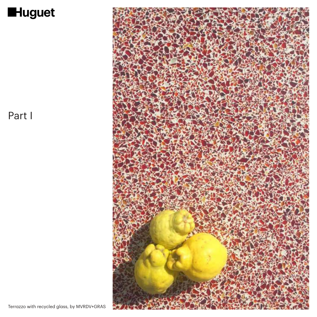

## Part I

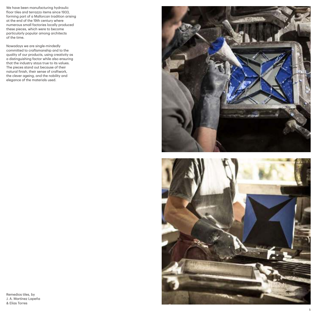We have been manufacturing hydraulic floor tiles and terrazzo items since 1933, forming part of a Mallorcan tradition arising at the end of the 19th century where numerous small factories locally produced these pieces, which were to become particularly popular among architects of the time.

Nowadays we are single-mindedly committed to craftsmanship and to the quality of our products, using creativity as a distinguishing factor while also ensuring that the industry stays true to its values. The pieces stand out because of their natural finish, their sense of craftwork, the clever ageing, and the nobility and elegance of the materials used.



Remedios tiles, by J. A. Martínez Lapeña & Elías Torres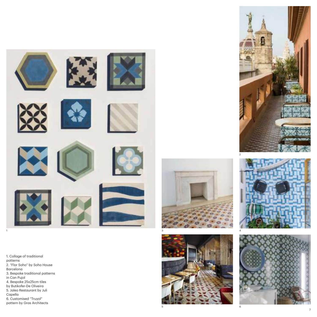

1. Collage of traditional patterns 2. "Flor Soho" by Soho House Barcelona 3. Bespoke traditional patterns in Can Pujol 4. Bespoke 25x25cm tiles by Butikofer-De Oliveira 5. Jaleo Restaurant by Juli Capella 6. Customised "Truyol" 1<br>
1. Collage of traditional<br>
patterns<br>
2. "Flor Soho" by Soho Hot<br>
Barcelona<br>
3. Bespoke traditional patt<br>
in Can Pujol<br>
4. Bespoke 25x25cm tiles<br>
by Butikofer-De Oliveira<br>
5. Jaleo Restaurant by Juli<br>
Capella<br>
6. Customi









3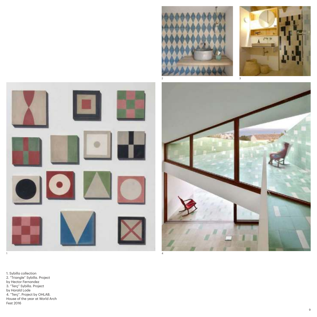







1. Sybilla collection 2. "Triangle" Sybilla. Project by Hector Fernandez 3. "Terç" Sybilla. Project by Harald Lode 4. "Terç". Project by OHLAB. House of the year at World Arch Fest 2016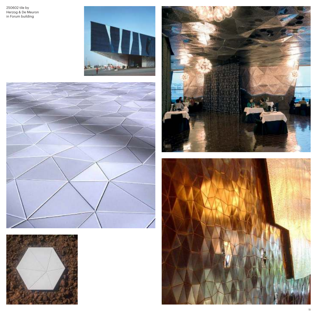250602 tile by Herzog & De Meuron in Forum building









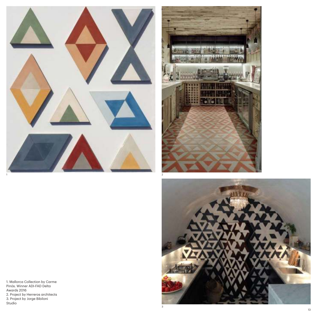





1. Mallorca Collection by Carme Pinós. Winner ADI-FAD Delta Awards 2016 2. Project by Herreros architects 3. Project by Jorge Bibiloni Studio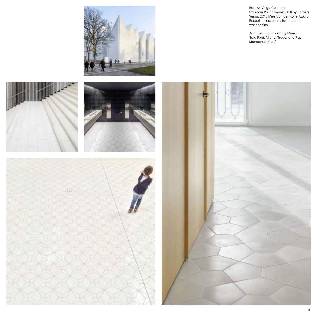

Barozzi Veiga Collection Szczecin Philharmonic Hall by Barozzi Veiga. 2015 Mies Van der Rohe Award. Bespoke tiles, stairs, furniture and washbasins

Aga tiles in a project by Mireia Sala Font, Michal Treder and Pep Montserrat Martí

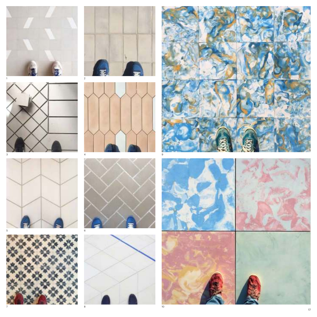





















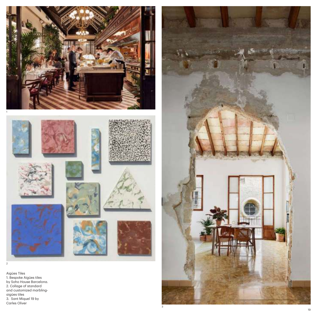

3

1. Bespoke Aigües tiles by Soho House Barcelona. 2. Collage of standard and customized marblingaigües tiles 3. Sant Miquel 19 by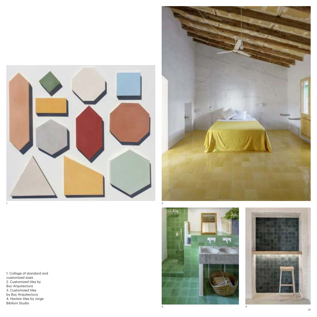







1. Collage of standard and customized sizes 2. Customized tiles by Buc Arquitectura 3. Customized tiles by Buc Arquitectura 4. Hacbar tiles by Jorge 1<br>Biblionized siz<br>Customized siz<br>Biblionized<br>Biblionized<br>4. Hacbar tiles<br>Biblioni Studio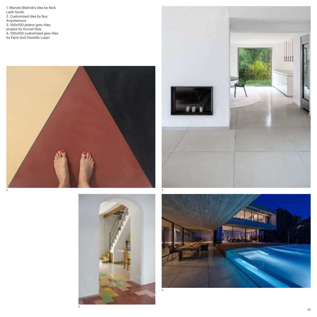1. Manolo Blahnik's tiles by Nick Leith Smith 2. Customized tiles by Buc Arquitectura 3. 100x100 pastor grey tiles, project by Durval Dias 4. 100x100 customised grey tiles by Ewre and Osvaldo Luppi







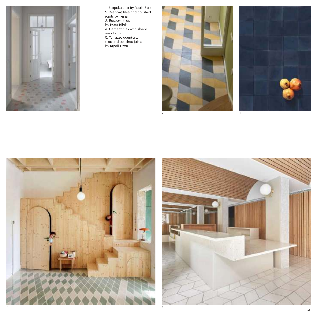

1. Bespoke tiles by Rapin Saiz 2. Bespoke tiles and polished joints by Feina 3. Bespoke tiles by Peter Bilak 4. Cement tiles with shade variations 5. Terrazzo counters, tiles and polished joints by Ripoll Tizon







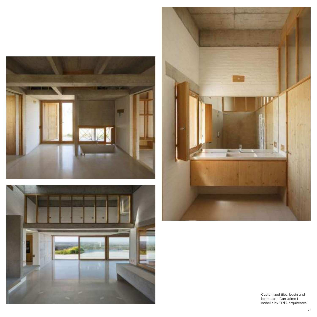





Customized tiles, basin and bath tub in Can Jaime I Isabelle by TEd'A arquitectes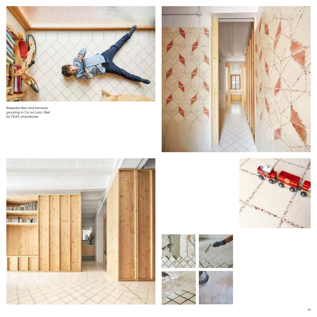

Bespoke tiles and terrazzo grouting in Ca na Laia I Biel by TEd'A arquitectes